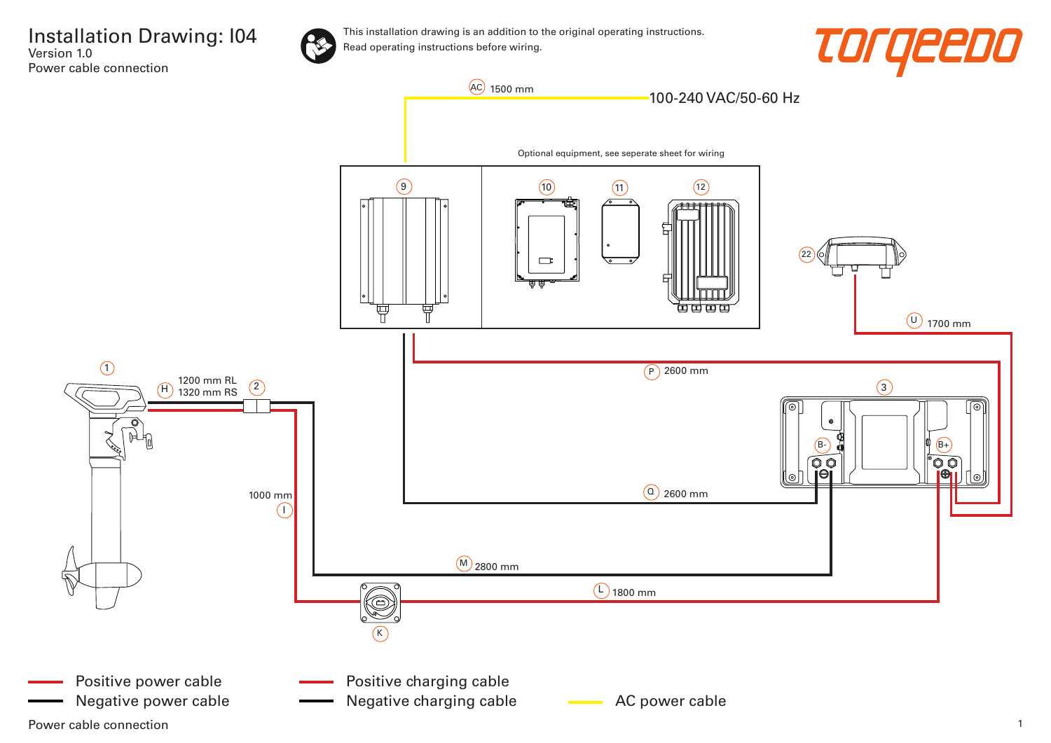

This installation drawing is an addition to the original operating instructions. Read operating instructions before wiring.





Power cable connection 2008 and 2008 and 2008 and 2008 and 2008 and 2008 and 2008 and 2008 and 2008 and 2008 and 2008 and 2008 and 2008 and 2008 and 2008 and 2008 and 2008 and 2008 and 2008 and 2008 and 2008 and 2008 and 2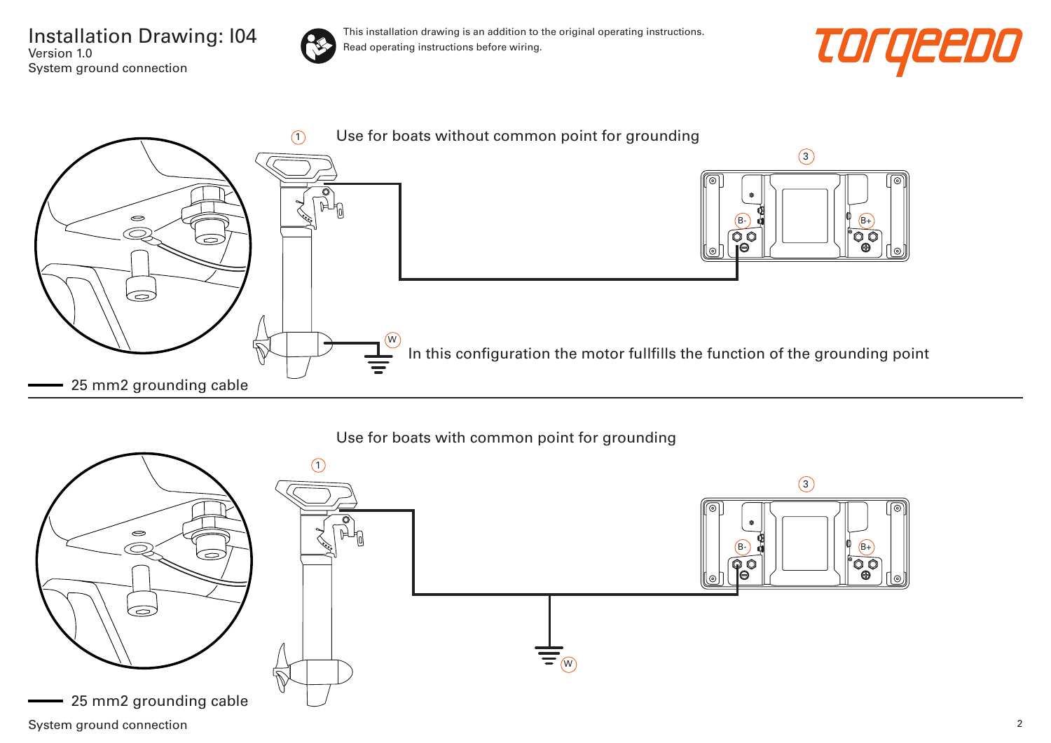Installation Drawing: I04 Version 1.0 System ground connection



This installation drawing is an addition to the original operating instructions. Read operating instructions before wiring.





## Use for boats with common point for grounding

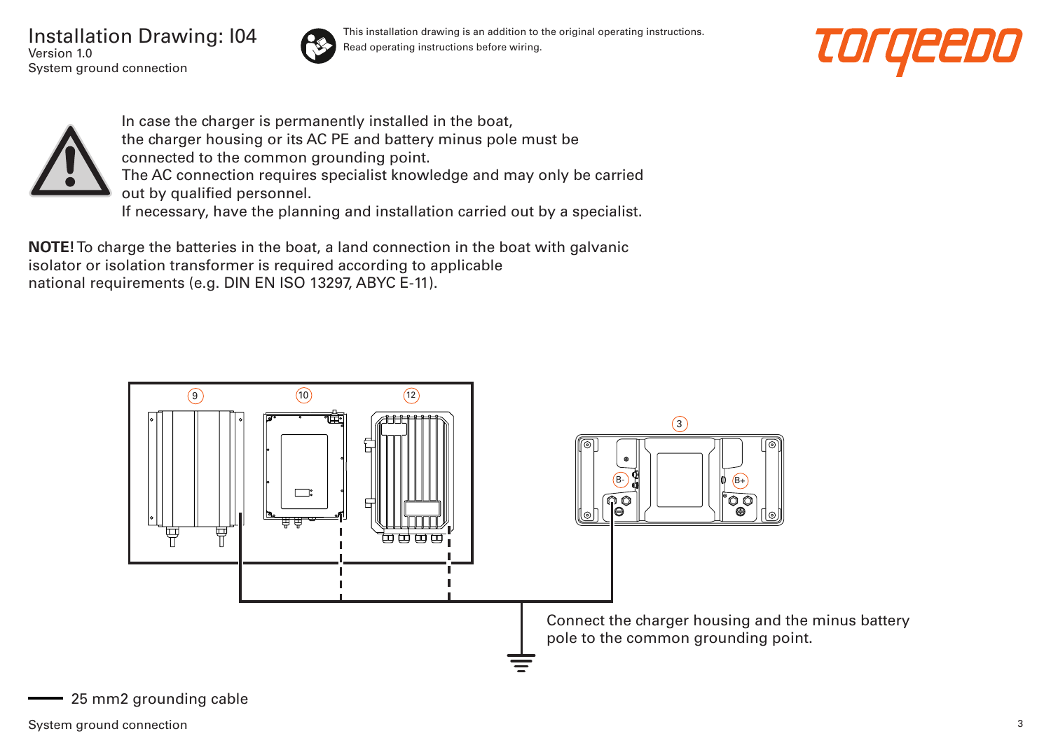Installation Drawing: I04 Version 1.0 System ground connection



This installation drawing is an addition to the original operating instructions. Read operating instructions before wiring.





In case the charger is permanently installed in the boat, the charger housing or its AC PE and battery minus pole must be connected to the common grounding point. The AC connection requires specialist knowledge and may only be carried out by qualified personnel. If necessary, have the planning and installation carried out by a specialist.

**NOTE!** To charge the batteries in the boat, a land connection in the boat with galvanic isolator or isolation transformer is required according to applicable national requirements (e.g. DIN EN ISO 13297, ABYC E-11).



25 mm2 grounding cable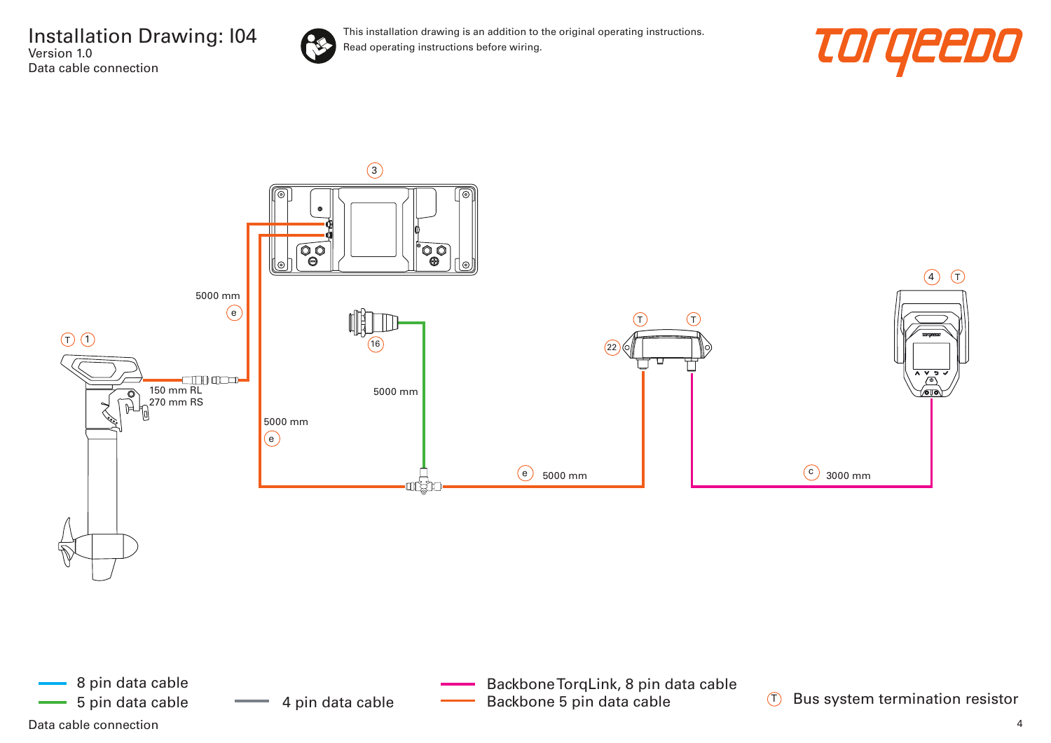

This installation drawing is an addition to the original operating instructions. Read operating instructions before wiring.





Data cable connection and the connection of the control of the control of the control of the connection of the connection of the connection of the connection of the connection of the connection of the connection of the con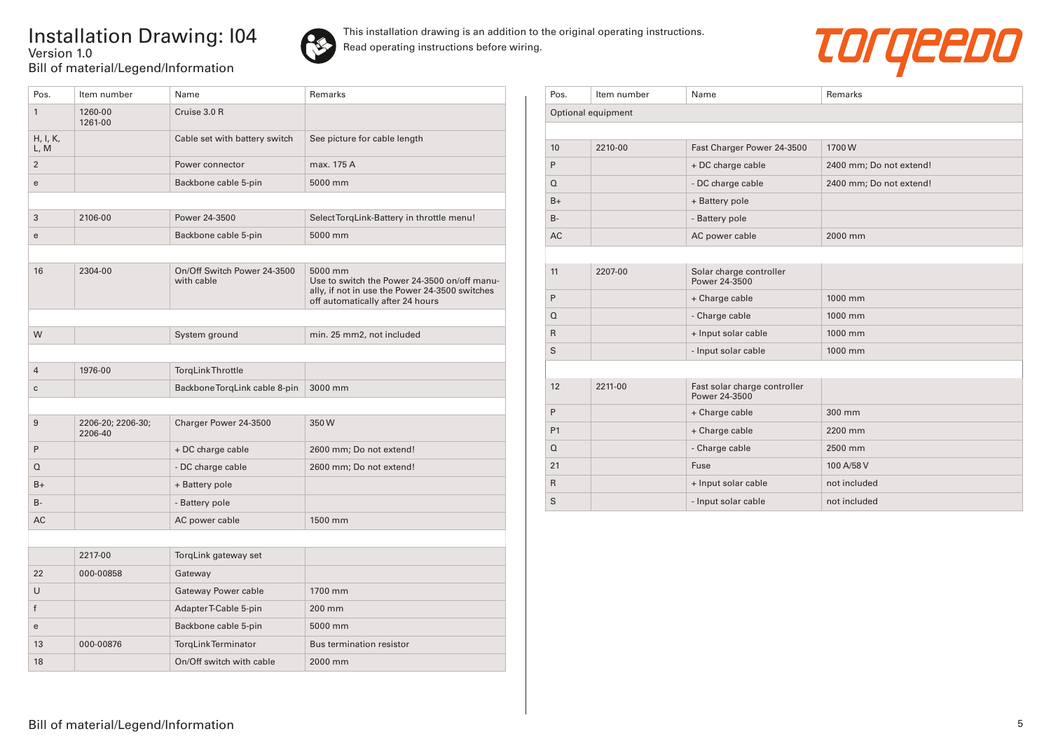## Installation Drawing: I04 Version 1.0 Bill of material/Legend/Information



This installation drawing is an addition to the original operating instructions. Read operating instructions before wiring.



| Pos.             | Item number                  | Name                                      | Remarks                                                                                                                                       |
|------------------|------------------------------|-------------------------------------------|-----------------------------------------------------------------------------------------------------------------------------------------------|
| $\mathbf{1}$     | 1260-00<br>1261-00           | Cruise 3.0 R                              |                                                                                                                                               |
| H, I, K,<br>L, M |                              | Cable set with battery switch             | See picture for cable length                                                                                                                  |
| $\overline{2}$   |                              | Power connector                           | max. 175 A                                                                                                                                    |
| e                |                              | Backbone cable 5-pin                      | 5000 mm                                                                                                                                       |
|                  |                              |                                           |                                                                                                                                               |
| 3                | 2106-00                      | Power 24-3500                             | Select TorgLink-Battery in throttle menu!                                                                                                     |
| e                |                              | Backbone cable 5-pin                      | 5000 mm                                                                                                                                       |
|                  |                              |                                           |                                                                                                                                               |
| 16               | 2304-00                      | On/Off Switch Power 24-3500<br>with cable | 5000 mm<br>Use to switch the Power 24-3500 on/off manu-<br>ally, if not in use the Power 24-3500 switches<br>off automatically after 24 hours |
|                  |                              |                                           |                                                                                                                                               |
| W                |                              | System ground                             | min. 25 mm2, not included                                                                                                                     |
|                  |                              |                                           |                                                                                                                                               |
| $\overline{4}$   | 1976-00                      | <b>TorgLink Throttle</b>                  |                                                                                                                                               |
| C                |                              | Backbone TorqLink cable 8-pin             | 3000 mm                                                                                                                                       |
|                  |                              |                                           |                                                                                                                                               |
| 9                | 2206-20; 2206-30;<br>2206-40 | Charger Power 24-3500                     | 350W                                                                                                                                          |
| P                |                              | + DC charge cable                         | 2600 mm; Do not extend!                                                                                                                       |
| $\Omega$         |                              | - DC charge cable                         | 2600 mm; Do not extend!                                                                                                                       |
| $B+$             |                              | + Battery pole                            |                                                                                                                                               |
| <b>B-</b>        |                              | - Battery pole                            |                                                                                                                                               |
| AC               |                              | AC power cable                            | 1500 mm                                                                                                                                       |
|                  |                              |                                           |                                                                                                                                               |
|                  | 2217-00                      | TorqLink gateway set                      |                                                                                                                                               |
| 22               | 000-00858                    | Gateway                                   |                                                                                                                                               |
| U                |                              | Gateway Power cable                       | 1700 mm                                                                                                                                       |
| f                |                              | AdapterT-Cable 5-pin                      | 200 mm                                                                                                                                        |
| e                |                              | Backbone cable 5-pin                      | 5000 mm                                                                                                                                       |
| 13               | 000-00876                    | <b>TorgLink Terminator</b>                | <b>Bus termination resistor</b>                                                                                                               |
| 18               |                              | On/Off switch with cable                  | 2000 mm                                                                                                                                       |

| Pos.         | Item number        | Name                                          | Remarks                 |
|--------------|--------------------|-----------------------------------------------|-------------------------|
|              | Optional equipment |                                               |                         |
|              |                    |                                               |                         |
| 10           | 2210-00            | Fast Charger Power 24-3500                    | 1700W                   |
| P            |                    | + DC charge cable                             | 2400 mm; Do not extend! |
| $\Omega$     |                    | - DC charge cable                             | 2400 mm; Do not extend! |
| $B+$         |                    | + Battery pole                                |                         |
| $B -$        |                    | - Battery pole                                |                         |
| <b>AC</b>    |                    | AC power cable                                | 2000 mm                 |
|              |                    |                                               |                         |
| 11           | 2207-00            | Solar charge controller<br>Power 24-3500      |                         |
| P            |                    | + Charge cable                                | 1000 mm                 |
| $\Omega$     |                    | - Charge cable                                | 1000 mm                 |
| $\mathsf{R}$ |                    | + Input solar cable                           | 1000 mm                 |
| S            |                    | - Input solar cable                           | 1000 mm                 |
|              |                    |                                               |                         |
| 12           | 2211-00            | Fast solar charge controller<br>Power 24-3500 |                         |
| P            |                    | + Charge cable                                | 300 mm                  |
| P1           |                    | + Charge cable                                | 2200 mm                 |
| $\Omega$     |                    | - Charge cable                                | 2500 mm                 |
| 21           |                    | Fuse                                          | 100 A/58 V              |
| $\mathsf{R}$ |                    | + Input solar cable                           | not included            |
| S            |                    | - Input solar cable                           | not included            |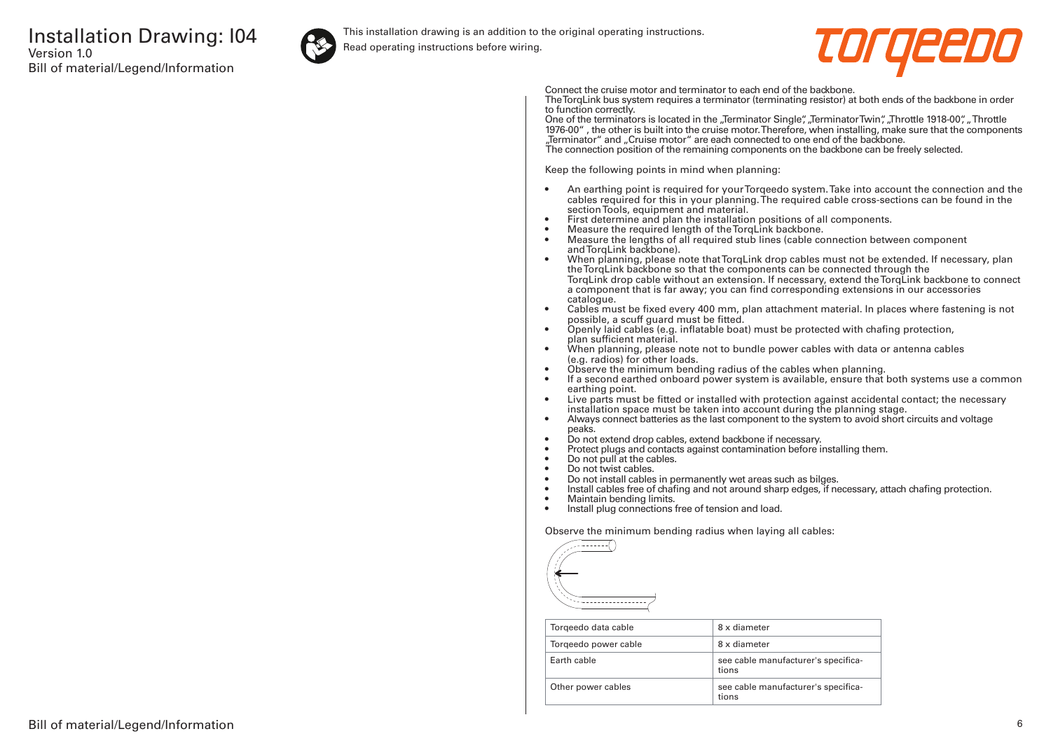

This installation drawing is an addition to the original operating instructions.

Read operating instructions before wiring.



Connect the cruise motor and terminator to each end of the backbone.

The TorqLink bus system requires a terminator (terminating resistor) at both ends of the backbone in order to function correctly.

One of the terminators is located in the "Terminator Single", "Terminator Twin", "Throttle 1918-00", "Throttle 1976-00" , the other is built into the cruise motor. Therefore, when installing, make sure that the components "Terminator" and "Cruise motor" are each connected to one end of the backbone. The connection position of the remaining components on the backbone can be freely selected.

Keep the following points in mind when planning:

- An earthing point is required for your Torqeedo system. Take into account the connection and the cables required for this in your planning. The required cable cross-sections can be found in the section Tools, equipment and material.
- First determine and plan the installation positions of all components.
- Measure the required length of the TorqLink backbone.<br>• Measure the lengths of all required stub lines (cable co
- Measure the lengths of all required stub lines (cable connection between component and TorgLink backbone).
- When planning, please note that TorqLink drop cables must not be extended. If necessary, plan the TorqLink backbone so that the components can be connected through the TorqLink drop cable without an extension. If necessary, extend the TorqLink backbone to connect a component that is far away; you can find corresponding extensions in our accessories catalogue.
- Cables must be fixed every 400 mm, plan attachment material. In places where fastening is not possible, a scuff guard must be fitted.
- Openly laid cables (e.g. inflatable boat) must be protected with chafing protection, plan sufficient material.
- When planning, please note not to bundle power cables with data or antenna cables (e.g. radios) for other loads.
- Observe the minimum bending radius of the cables when planning.
- If a second earthed onboard power system is available, ensure that both systems use a common earthing point.
- Live parts must be fitted or installed with protection against accidental contact; the necessary installation space must be taken into account during the planning stage.
- Always connect batteries as the last component to the system to avoid short circuits and voltage peaks.
- Do not extend drop cables, extend backbone if necessary.
- Protect plugs and contacts against contamination before installing them.
- Do not pull at the cables.
- Do not twist cables.
- Do not install cables in permanently wet areas such as bilges.
- Install cables free of chafing and not around sharp edges, if necessary, attach chafing protection.<br>• Maintain bending limits
- Maintain bending limits.
- Install plug connections free of tension and load.

Observe the minimum bending radius when laying all cables:



| Torgeedo data cable  | 8 x diameter                                 |
|----------------------|----------------------------------------------|
| Torgeedo power cable | 8 x diameter                                 |
| Farth cable          | see cable manufacturer's specifica-<br>tions |
| Other power cables   | see cable manufacturer's specifica-<br>tions |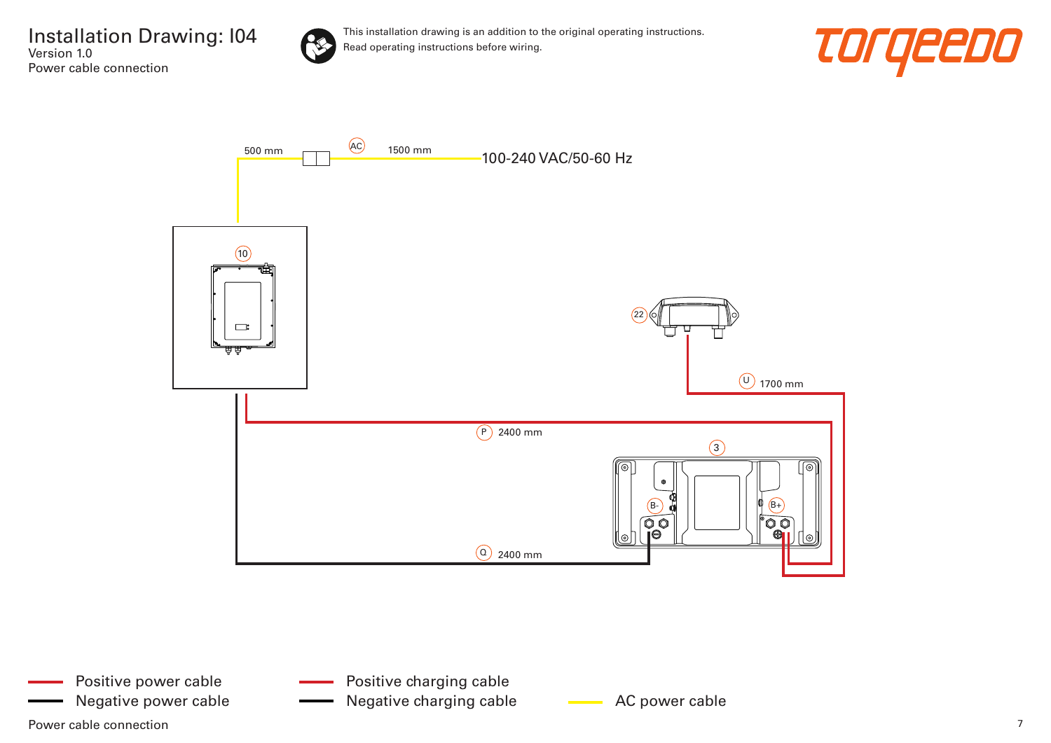

This installation drawing is an addition to the original operating instructions. Read operating instructions before wiring.





Power cable connection  $\overline{7}$ Positive power cable

- Positive charging cable
- Negative power cable **AC AC power cable** AC power cable Negative charging cable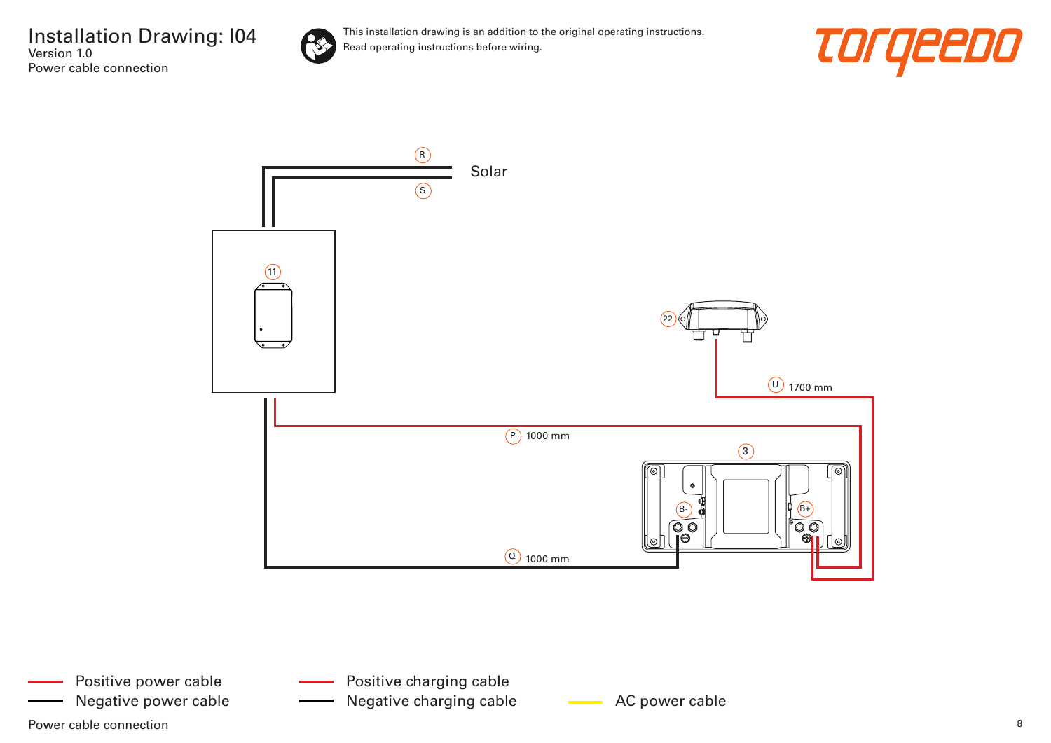

This installation drawing is an addition to the original operating instructions. Read operating instructions before wiring.





Power cable connection and the connection of the set of the set of the set of the set of the set of the set of the set of the set of the set of the set of the set of the set of the set of the set of the set of the set of t Positive power cable Negative power cable **AC AC power cable** Negative charging cable **AC** power cable

Positive charging cable